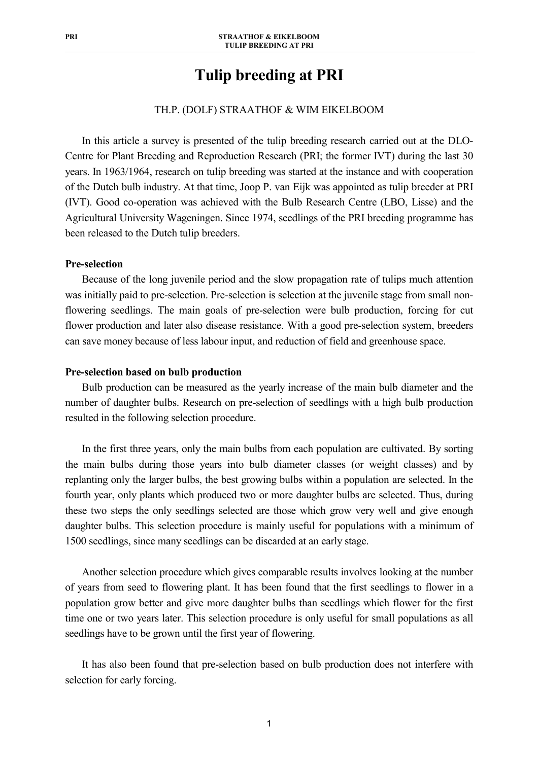# **Tulip breeding at PRI**

# TH.P. (DOLF) STRAATHOF & WIM EIKELBOOM

In this article a survey is presented of the tulip breeding research carried out at the DLO-Centre for Plant Breeding and Reproduction Research (PRI; the former IVT) during the last 30 years. In 1963/1964, research on tulip breeding was started at the instance and with cooperation of the Dutch bulb industry. At that time, Joop P. van Eijk was appointed as tulip breeder at PRI (IVT). Good co-operation was achieved with the Bulb Research Centre (LBO, Lisse) and the Agricultural University Wageningen. Since 1974, seedlings of the PRI breeding programme has been released to the Dutch tulip breeders.

## **Pre-selection**

Because of the long juvenile period and the slow propagation rate of tulips much attention was initially paid to pre-selection. Pre-selection is selection at the juvenile stage from small nonflowering seedlings. The main goals of pre-selection were bulb production, forcing for cut flower production and later also disease resistance. With a good pre-selection system, breeders can save money because of less labour input, and reduction of field and greenhouse space.

## **Pre-selection based on bulb production**

Bulb production can be measured as the yearly increase of the main bulb diameter and the number of daughter bulbs. Research on pre-selection of seedlings with a high bulb production resulted in the following selection procedure.

In the first three years, only the main bulbs from each population are cultivated. By sorting the main bulbs during those years into bulb diameter classes (or weight classes) and by replanting only the larger bulbs, the best growing bulbs within a population are selected. In the fourth year, only plants which produced two or more daughter bulbs are selected. Thus, during these two steps the only seedlings selected are those which grow very well and give enough daughter bulbs. This selection procedure is mainly useful for populations with a minimum of 1500 seedlings, since many seedlings can be discarded at an early stage.

Another selection procedure which gives comparable results involves looking at the number of years from seed to flowering plant. It has been found that the first seedlings to flower in a population grow better and give more daughter bulbs than seedlings which flower for the first time one or two years later. This selection procedure is only useful for small populations as all seedlings have to be grown until the first year of flowering.

 It has also been found that pre-selection based on bulb production does not interfere with selection for early forcing.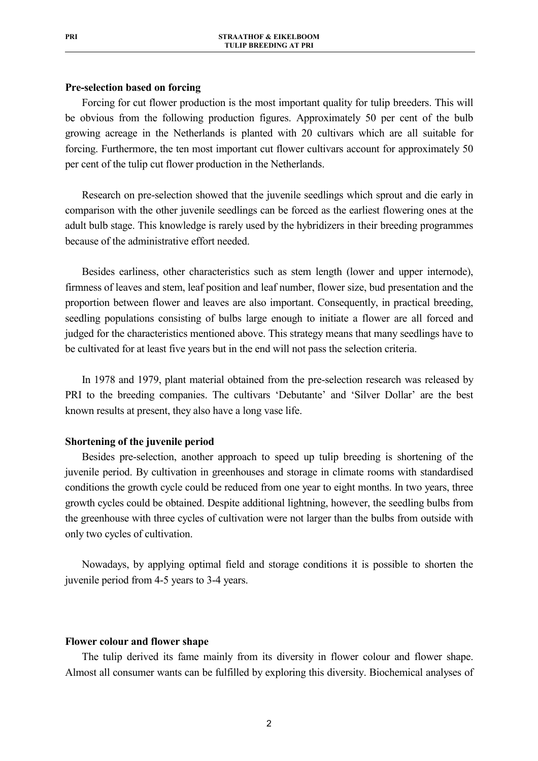# **Pre-selection based on forcing**

Forcing for cut flower production is the most important quality for tulip breeders. This will be obvious from the following production figures. Approximately 50 per cent of the bulb growing acreage in the Netherlands is planted with 20 cultivars which are all suitable for forcing. Furthermore, the ten most important cut flower cultivars account for approximately 50 per cent of the tulip cut flower production in the Netherlands.

Research on pre-selection showed that the juvenile seedlings which sprout and die early in comparison with the other juvenile seedlings can be forced as the earliest flowering ones at the adult bulb stage. This knowledge is rarely used by the hybridizers in their breeding programmes because of the administrative effort needed.

Besides earliness, other characteristics such as stem length (lower and upper internode), firmness of leaves and stem, leaf position and leaf number, flower size, bud presentation and the proportion between flower and leaves are also important. Consequently, in practical breeding, seedling populations consisting of bulbs large enough to initiate a flower are all forced and judged for the characteristics mentioned above. This strategy means that many seedlings have to be cultivated for at least five years but in the end will not pass the selection criteria.

In 1978 and 1979, plant material obtained from the pre-selection research was released by PRI to the breeding companies. The cultivars 'Debutante' and 'Silver Dollar' are the best known results at present, they also have a long vase life.

## **Shortening of the juvenile period**

Besides pre-selection, another approach to speed up tulip breeding is shortening of the juvenile period. By cultivation in greenhouses and storage in climate rooms with standardised conditions the growth cycle could be reduced from one year to eight months. In two years, three growth cycles could be obtained. Despite additional lightning, however, the seedling bulbs from the greenhouse with three cycles of cultivation were not larger than the bulbs from outside with only two cycles of cultivation.

Nowadays, by applying optimal field and storage conditions it is possible to shorten the juvenile period from 4-5 years to 3-4 years.

## **Flower colour and flower shape**

The tulip derived its fame mainly from its diversity in flower colour and flower shape. Almost all consumer wants can be fulfilled by exploring this diversity. Biochemical analyses of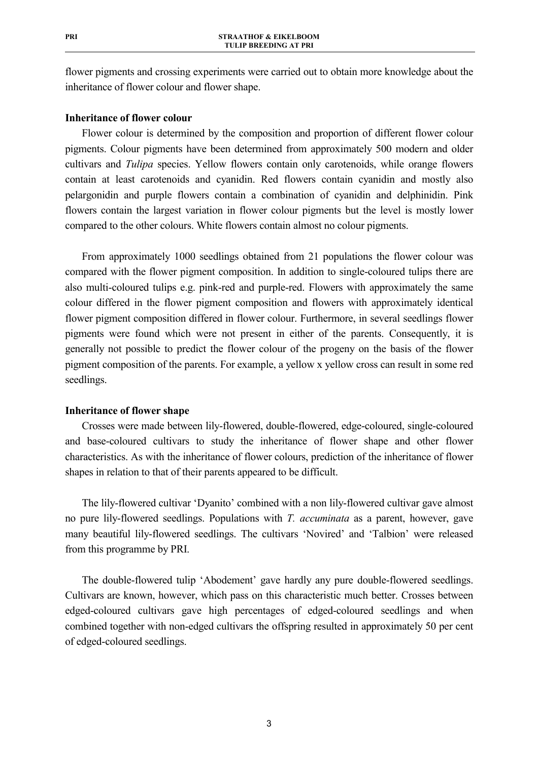flower pigments and crossing experiments were carried out to obtain more knowledge about the inheritance of flower colour and flower shape.

## **Inheritance of flower colour**

Flower colour is determined by the composition and proportion of different flower colour pigments. Colour pigments have been determined from approximately 500 modern and older cultivars and *Tulipa* species. Yellow flowers contain only carotenoids, while orange flowers contain at least carotenoids and cyanidin. Red flowers contain cyanidin and mostly also pelargonidin and purple flowers contain a combination of cyanidin and delphinidin. Pink flowers contain the largest variation in flower colour pigments but the level is mostly lower compared to the other colours. White flowers contain almost no colour pigments.

From approximately 1000 seedlings obtained from 21 populations the flower colour was compared with the flower pigment composition. In addition to single-coloured tulips there are also multi-coloured tulips e.g. pink-red and purple-red. Flowers with approximately the same colour differed in the flower pigment composition and flowers with approximately identical flower pigment composition differed in flower colour. Furthermore, in several seedlings flower pigments were found which were not present in either of the parents. Consequently, it is generally not possible to predict the flower colour of the progeny on the basis of the flower pigment composition of the parents. For example, a yellow x yellow cross can result in some red seedlings.

# **Inheritance of flower shape**

Crosses were made between lily-flowered, double-flowered, edge-coloured, single-coloured and base-coloured cultivars to study the inheritance of flower shape and other flower characteristics. As with the inheritance of flower colours, prediction of the inheritance of flower shapes in relation to that of their parents appeared to be difficult.

The lily-flowered cultivar 'Dyanito' combined with a non lily-flowered cultivar gave almost no pure lily-flowered seedlings. Populations with *T. accuminata* as a parent, however, gave many beautiful lily-flowered seedlings. The cultivars 'Novired' and 'Talbion' were released from this programme by PRI.

The double-flowered tulip 'Abodement' gave hardly any pure double-flowered seedlings. Cultivars are known, however, which pass on this characteristic much better. Crosses between edged-coloured cultivars gave high percentages of edged-coloured seedlings and when combined together with non-edged cultivars the offspring resulted in approximately 50 per cent of edged-coloured seedlings.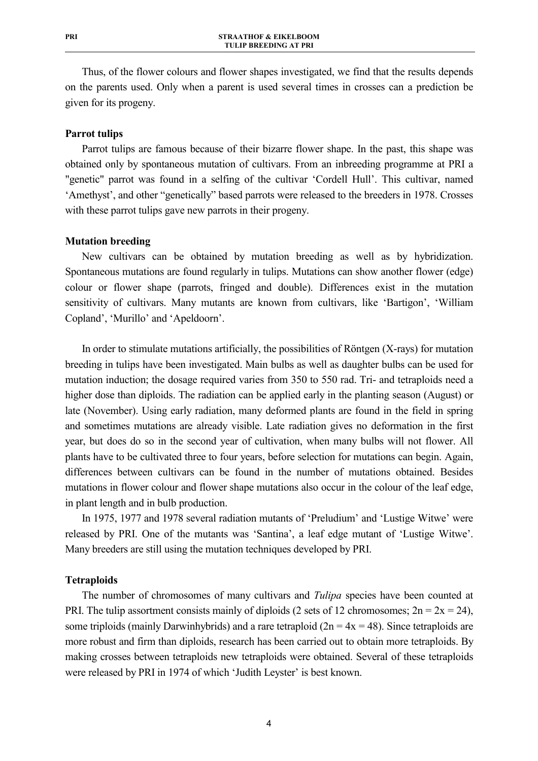Thus, of the flower colours and flower shapes investigated, we find that the results depends on the parents used. Only when a parent is used several times in crosses can a prediction be given for its progeny.

## **Parrot tulips**

Parrot tulips are famous because of their bizarre flower shape. In the past, this shape was obtained only by spontaneous mutation of cultivars. From an inbreeding programme at PRI a "genetic" parrot was found in a selfing of the cultivar 'Cordell Hull'. This cultivar, named 'Amethyst', and other "genetically" based parrots were released to the breeders in 1978. Crosses with these parrot tulips gave new parrots in their progeny.

#### **Mutation breeding**

New cultivars can be obtained by mutation breeding as well as by hybridization. Spontaneous mutations are found regularly in tulips. Mutations can show another flower (edge) colour or flower shape (parrots, fringed and double). Differences exist in the mutation sensitivity of cultivars. Many mutants are known from cultivars, like 'Bartigon', 'William Copland', 'Murillo' and 'Apeldoorn'.

In order to stimulate mutations artificially, the possibilities of Röntgen (X-rays) for mutation breeding in tulips have been investigated. Main bulbs as well as daughter bulbs can be used for mutation induction; the dosage required varies from 350 to 550 rad. Tri- and tetraploids need a higher dose than diploids. The radiation can be applied early in the planting season (August) or late (November). Using early radiation, many deformed plants are found in the field in spring and sometimes mutations are already visible. Late radiation gives no deformation in the first year, but does do so in the second year of cultivation, when many bulbs will not flower. All plants have to be cultivated three to four years, before selection for mutations can begin. Again, differences between cultivars can be found in the number of mutations obtained. Besides mutations in flower colour and flower shape mutations also occur in the colour of the leaf edge, in plant length and in bulb production.

In 1975, 1977 and 1978 several radiation mutants of 'Preludium' and 'Lustige Witwe' were released by PRI. One of the mutants was 'Santina', a leaf edge mutant of 'Lustige Witwe'. Many breeders are still using the mutation techniques developed by PRI.

#### **Tetraploids**

The number of chromosomes of many cultivars and *Tulipa* species have been counted at PRI. The tulip assortment consists mainly of diploids (2 sets of 12 chromosomes;  $2n = 2x = 24$ ), some triploids (mainly Darwinhybrids) and a rare tetraploid  $(2n = 4x = 48)$ . Since tetraploids are more robust and firm than diploids, research has been carried out to obtain more tetraploids. By making crosses between tetraploids new tetraploids were obtained. Several of these tetraploids were released by PRI in 1974 of which 'Judith Leyster' is best known.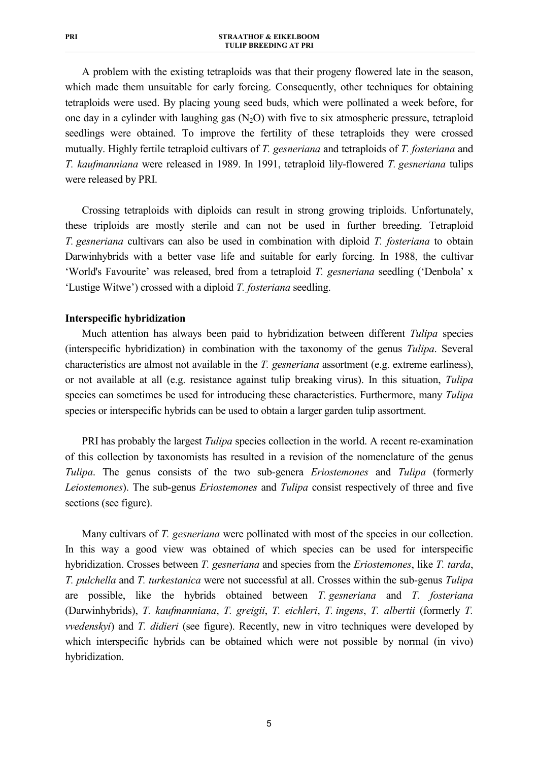A problem with the existing tetraploids was that their progeny flowered late in the season, which made them unsuitable for early forcing. Consequently, other techniques for obtaining tetraploids were used. By placing young seed buds, which were pollinated a week before, for one day in a cylinder with laughing gas  $(N<sub>2</sub>O)$  with five to six atmospheric pressure, tetraploid seedlings were obtained. To improve the fertility of these tetraploids they were crossed mutually. Highly fertile tetraploid cultivars of *T. gesneriana* and tetraploids of *T. fosteriana* and *T. kaufmanniana* were released in 1989. In 1991, tetraploid lily-flowered *T. gesneriana* tulips were released by PRI.

Crossing tetraploids with diploids can result in strong growing triploids. Unfortunately, these triploids are mostly sterile and can not be used in further breeding. Tetraploid *T. gesneriana* cultivars can also be used in combination with diploid *T. fosteriana* to obtain Darwinhybrids with a better vase life and suitable for early forcing. In 1988, the cultivar 'World's Favourite' was released, bred from a tetraploid *T. gesneriana* seedling ('Denbola' x 'Lustige Witwe') crossed with a diploid *T. fosteriana* seedling.

## **Interspecific hybridization**

Much attention has always been paid to hybridization between different *Tulipa* species (interspecific hybridization) in combination with the taxonomy of the genus *Tulipa*. Several characteristics are almost not available in the *T. gesneriana* assortment (e.g. extreme earliness), or not available at all (e.g. resistance against tulip breaking virus). In this situation, *Tulipa* species can sometimes be used for introducing these characteristics. Furthermore, many *Tulipa* species or interspecific hybrids can be used to obtain a larger garden tulip assortment.

PRI has probably the largest *Tulipa* species collection in the world. A recent re-examination of this collection by taxonomists has resulted in a revision of the nomenclature of the genus *Tulipa*. The genus consists of the two sub-genera *Eriostemones* and *Tulipa* (formerly *Leiostemones*). The sub-genus *Eriostemones* and *Tulipa* consist respectively of three and five sections (see figure).

Many cultivars of *T. gesneriana* were pollinated with most of the species in our collection. In this way a good view was obtained of which species can be used for interspecific hybridization. Crosses between *T. gesneriana* and species from the *Eriostemones*, like *T. tarda*, *T. pulchella* and *T. turkestanica* were not successful at all. Crosses within the sub-genus *Tulipa* are possible, like the hybrids obtained between *T. gesneriana* and *T. fosteriana* (Darwinhybrids), *T. kaufmanniana*, *T. greigii*, *T. eichleri*, *T. ingens*, *T. albertii* (formerly *T. vvedenskyi*) and *T. didieri* (see figure). Recently, new in vitro techniques were developed by which interspecific hybrids can be obtained which were not possible by normal (in vivo) hybridization.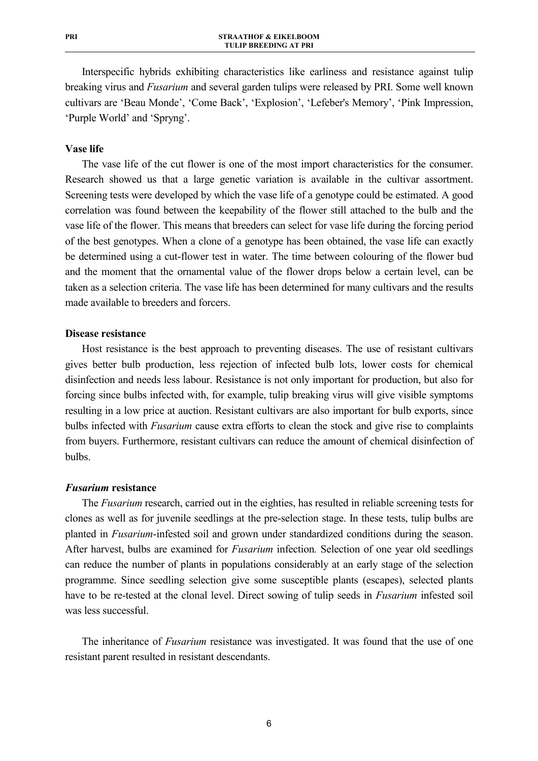Interspecific hybrids exhibiting characteristics like earliness and resistance against tulip breaking virus and *Fusarium* and several garden tulips were released by PRI. Some well known cultivars are 'Beau Monde', 'Come Back', 'Explosion', 'Lefeber's Memory', 'Pink Impression, 'Purple World' and 'Spryng'.

## **Vase life**

The vase life of the cut flower is one of the most import characteristics for the consumer. Research showed us that a large genetic variation is available in the cultivar assortment. Screening tests were developed by which the vase life of a genotype could be estimated. A good correlation was found between the keepability of the flower still attached to the bulb and the vase life of the flower. This means that breeders can select for vase life during the forcing period of the best genotypes. When a clone of a genotype has been obtained, the vase life can exactly be determined using a cut-flower test in water. The time between colouring of the flower bud and the moment that the ornamental value of the flower drops below a certain level, can be taken as a selection criteria. The vase life has been determined for many cultivars and the results made available to breeders and forcers.

## **Disease resistance**

Host resistance is the best approach to preventing diseases. The use of resistant cultivars gives better bulb production, less rejection of infected bulb lots, lower costs for chemical disinfection and needs less labour. Resistance is not only important for production, but also for forcing since bulbs infected with, for example, tulip breaking virus will give visible symptoms resulting in a low price at auction. Resistant cultivars are also important for bulb exports, since bulbs infected with *Fusarium* cause extra efforts to clean the stock and give rise to complaints from buyers. Furthermore, resistant cultivars can reduce the amount of chemical disinfection of bulbs.

#### *Fusarium* **resistance**

The *Fusarium* research, carried out in the eighties, has resulted in reliable screening tests for clones as well as for juvenile seedlings at the pre-selection stage. In these tests, tulip bulbs are planted in *Fusarium*-infested soil and grown under standardized conditions during the season. After harvest, bulbs are examined for *Fusarium* infection*.* Selection of one year old seedlings can reduce the number of plants in populations considerably at an early stage of the selection programme. Since seedling selection give some susceptible plants (escapes), selected plants have to be re-tested at the clonal level. Direct sowing of tulip seeds in *Fusarium* infested soil was less successful.

The inheritance of *Fusarium* resistance was investigated. It was found that the use of one resistant parent resulted in resistant descendants.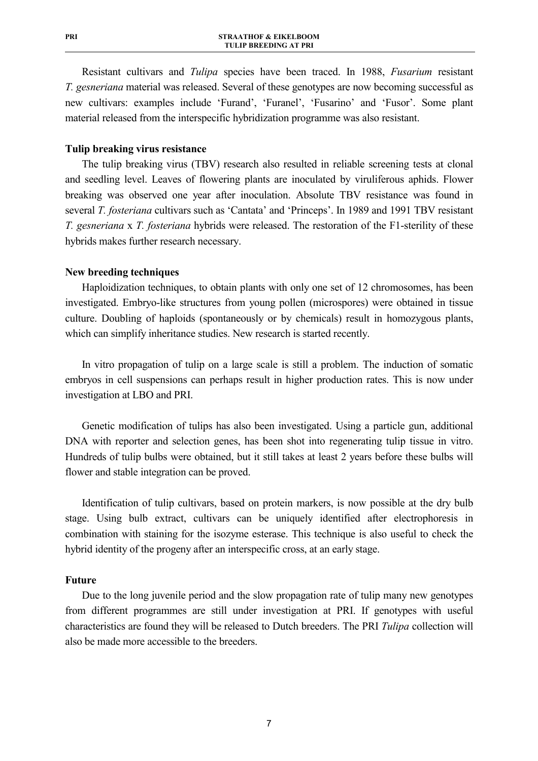Resistant cultivars and *Tulipa* species have been traced. In 1988, *Fusarium* resistant *T. gesneriana* material was released. Several of these genotypes are now becoming successful as new cultivars: examples include 'Furand', 'Furanel', 'Fusarino' and 'Fusor'. Some plant material released from the interspecific hybridization programme was also resistant.

# **Tulip breaking virus resistance**

The tulip breaking virus (TBV) research also resulted in reliable screening tests at clonal and seedling level. Leaves of flowering plants are inoculated by viruliferous aphids. Flower breaking was observed one year after inoculation. Absolute TBV resistance was found in several *T. fosteriana* cultivars such as 'Cantata' and 'Princeps'. In 1989 and 1991 TBV resistant *T. gesneriana* x *T. fosteriana* hybrids were released. The restoration of the F1-sterility of these hybrids makes further research necessary.

## **New breeding techniques**

Haploidization techniques, to obtain plants with only one set of 12 chromosomes, has been investigated. Embryo-like structures from young pollen (microspores) were obtained in tissue culture. Doubling of haploids (spontaneously or by chemicals) result in homozygous plants, which can simplify inheritance studies. New research is started recently.

In vitro propagation of tulip on a large scale is still a problem. The induction of somatic embryos in cell suspensions can perhaps result in higher production rates. This is now under investigation at LBO and PRI.

Genetic modification of tulips has also been investigated. Using a particle gun, additional DNA with reporter and selection genes, has been shot into regenerating tulip tissue in vitro. Hundreds of tulip bulbs were obtained, but it still takes at least 2 years before these bulbs will flower and stable integration can be proved.

Identification of tulip cultivars, based on protein markers, is now possible at the dry bulb stage. Using bulb extract, cultivars can be uniquely identified after electrophoresis in combination with staining for the isozyme esterase. This technique is also useful to check the hybrid identity of the progeny after an interspecific cross, at an early stage.

# **Future**

Due to the long juvenile period and the slow propagation rate of tulip many new genotypes from different programmes are still under investigation at PRI. If genotypes with useful characteristics are found they will be released to Dutch breeders. The PRI *Tulipa* collection will also be made more accessible to the breeders.